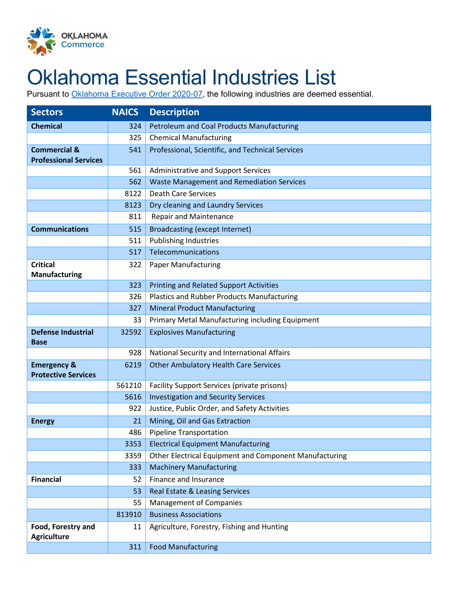

## Oklahoma Essential Industries List

Pursuant to [Oklahoma Executive Order 2020-07,](https://www.sos.ok.gov/documents/executive/1919.pdf) the following industries are deemed essential.

| <b>Sectors</b>                                          | <b>NAICS</b> | <b>Description</b>                                     |
|---------------------------------------------------------|--------------|--------------------------------------------------------|
| <b>Chemical</b>                                         | 324          | <b>Petroleum and Coal Products Manufacturing</b>       |
|                                                         | 325          | <b>Chemical Manufacturing</b>                          |
| <b>Commercial &amp;</b><br><b>Professional Services</b> | 541          | Professional, Scientific, and Technical Services       |
|                                                         | 561          | Administrative and Support Services                    |
|                                                         | 562          | <b>Waste Management and Remediation Services</b>       |
|                                                         | 8122         | <b>Death Care Services</b>                             |
|                                                         | 8123         | Dry cleaning and Laundry Services                      |
|                                                         | 811          | <b>Repair and Maintenance</b>                          |
| <b>Communications</b>                                   | 515          | <b>Broadcasting (except Internet)</b>                  |
|                                                         | 511          | <b>Publishing Industries</b>                           |
|                                                         | 517          | Telecommunications                                     |
| <b>Critical</b><br><b>Manufacturing</b>                 | 322          | <b>Paper Manufacturing</b>                             |
|                                                         | 323          | <b>Printing and Related Support Activities</b>         |
|                                                         | 326          | <b>Plastics and Rubber Products Manufacturing</b>      |
|                                                         | 327          | <b>Mineral Product Manufacturing</b>                   |
|                                                         | 33           | Primary Metal Manufacturing including Equipment        |
| <b>Defense Industrial</b><br><b>Base</b>                | 32592        | <b>Explosives Manufacturing</b>                        |
|                                                         | 928          | National Security and International Affairs            |
| <b>Emergency &amp;</b><br><b>Protective Services</b>    | 6219         | <b>Other Ambulatory Health Care Services</b>           |
|                                                         | 561210       | Facility Support Services (private prisons)            |
|                                                         | 5616         | <b>Investigation and Security Services</b>             |
|                                                         | 922          | Justice, Public Order, and Safety Activities           |
| <b>Energy</b>                                           | 21           | Mining, Oil and Gas Extraction                         |
|                                                         | 486          | <b>Pipeline Transportation</b>                         |
|                                                         | 3353         | <b>Electrical Equipment Manufacturing</b>              |
|                                                         | 3359         | Other Electrical Equipment and Component Manufacturing |
|                                                         | 333          | <b>Machinery Manufacturing</b>                         |
| <b>Financial</b>                                        | 52           | Finance and Insurance                                  |
|                                                         | 53           | Real Estate & Leasing Services                         |
|                                                         | 55           | <b>Management of Companies</b>                         |
|                                                         | 813910       | <b>Business Associations</b>                           |
| Food, Forestry and<br><b>Agriculture</b>                | 11           | Agriculture, Forestry, Fishing and Hunting             |
|                                                         | 311          | <b>Food Manufacturing</b>                              |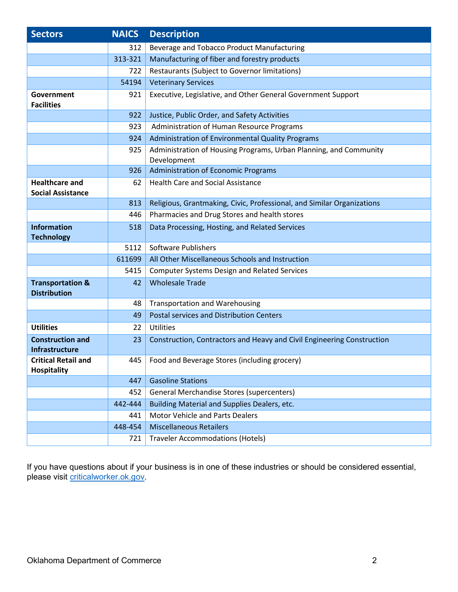| <b>Sectors</b>                                     | <b>NAICS</b> | <b>Description</b>                                                               |
|----------------------------------------------------|--------------|----------------------------------------------------------------------------------|
|                                                    | 312          | Beverage and Tobacco Product Manufacturing                                       |
|                                                    | 313-321      | Manufacturing of fiber and forestry products                                     |
|                                                    | 722          | Restaurants (Subject to Governor limitations)                                    |
|                                                    | 54194        | <b>Veterinary Services</b>                                                       |
| Government<br><b>Facilities</b>                    | 921          | Executive, Legislative, and Other General Government Support                     |
|                                                    | 922          | Justice, Public Order, and Safety Activities                                     |
|                                                    | 923          | Administration of Human Resource Programs                                        |
|                                                    | 924          | Administration of Environmental Quality Programs                                 |
|                                                    | 925          | Administration of Housing Programs, Urban Planning, and Community<br>Development |
|                                                    | 926          | <b>Administration of Economic Programs</b>                                       |
| <b>Healthcare and</b><br><b>Social Assistance</b>  | 62           | <b>Health Care and Social Assistance</b>                                         |
|                                                    | 813          | Religious, Grantmaking, Civic, Professional, and Similar Organizations           |
|                                                    | 446          | Pharmacies and Drug Stores and health stores                                     |
| <b>Information</b><br><b>Technology</b>            | 518          | Data Processing, Hosting, and Related Services                                   |
|                                                    | 5112         | <b>Software Publishers</b>                                                       |
|                                                    | 611699       | All Other Miscellaneous Schools and Instruction                                  |
|                                                    | 5415         | <b>Computer Systems Design and Related Services</b>                              |
| <b>Transportation &amp;</b><br><b>Distribution</b> | 42           | <b>Wholesale Trade</b>                                                           |
|                                                    | 48           | <b>Transportation and Warehousing</b>                                            |
|                                                    | 49           | <b>Postal services and Distribution Centers</b>                                  |
| <b>Utilities</b>                                   | 22           | <b>Utilities</b>                                                                 |
| <b>Construction and</b><br><b>Infrastructure</b>   | 23           | Construction, Contractors and Heavy and Civil Engineering Construction           |
| <b>Critical Retail and</b><br><b>Hospitality</b>   | 445          | Food and Beverage Stores (including grocery)                                     |
|                                                    | 447          | <b>Gasoline Stations</b>                                                         |
|                                                    | 452          | General Merchandise Stores (supercenters)                                        |
|                                                    | 442-444      | <b>Building Material and Supplies Dealers, etc.</b>                              |
|                                                    | 441          | <b>Motor Vehicle and Parts Dealers</b>                                           |
|                                                    | 448-454      | <b>Miscellaneous Retailers</b>                                                   |
|                                                    | 721          | <b>Traveler Accommodations (Hotels)</b>                                          |

If you have questions about if your business is in one of these industries or should be considered essential, please visit <u>criticalworker.ok.gov</u>.